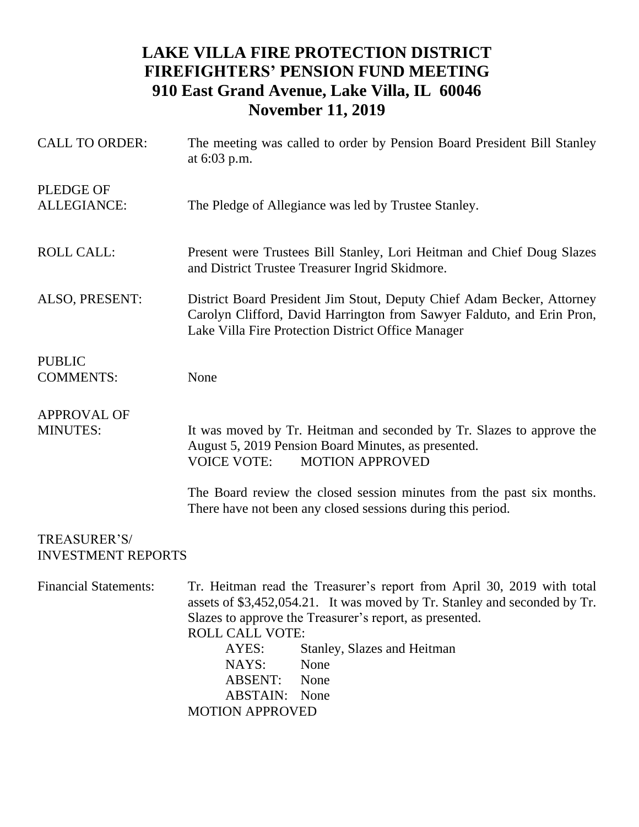## **LAKE VILLA FIRE PROTECTION DISTRICT FIREFIGHTERS' PENSION FUND MEETING 910 East Grand Avenue, Lake Villa, IL 60046 November 11, 2019**

| <b>CALL TO ORDER:</b>                     | The meeting was called to order by Pension Board President Bill Stanley<br>at 6:03 p.m.                                                                                                                                                                                                                                                                                |  |  |
|-------------------------------------------|------------------------------------------------------------------------------------------------------------------------------------------------------------------------------------------------------------------------------------------------------------------------------------------------------------------------------------------------------------------------|--|--|
| <b>PLEDGE OF</b><br>ALLEGIANCE:           | The Pledge of Allegiance was led by Trustee Stanley.                                                                                                                                                                                                                                                                                                                   |  |  |
| <b>ROLL CALL:</b>                         | Present were Trustees Bill Stanley, Lori Heitman and Chief Doug Slazes<br>and District Trustee Treasurer Ingrid Skidmore.                                                                                                                                                                                                                                              |  |  |
| ALSO, PRESENT:                            | District Board President Jim Stout, Deputy Chief Adam Becker, Attorney<br>Carolyn Clifford, David Harrington from Sawyer Falduto, and Erin Pron,<br>Lake Villa Fire Protection District Office Manager                                                                                                                                                                 |  |  |
| <b>PUBLIC</b><br><b>COMMENTS:</b>         | None                                                                                                                                                                                                                                                                                                                                                                   |  |  |
| <b>APPROVAL OF</b><br><b>MINUTES:</b>     | It was moved by Tr. Heitman and seconded by Tr. Slazes to approve the<br>August 5, 2019 Pension Board Minutes, as presented.<br><b>VOICE VOTE:</b><br><b>MOTION APPROVED</b>                                                                                                                                                                                           |  |  |
|                                           | The Board review the closed session minutes from the past six months.<br>There have not been any closed sessions during this period.                                                                                                                                                                                                                                   |  |  |
| TREASURER'S/<br><b>INVESTMENT REPORTS</b> |                                                                                                                                                                                                                                                                                                                                                                        |  |  |
| <b>Financial Statements:</b>              | Tr. Heitman read the Treasurer's report from April 30, 2019 with total<br>assets of \$3,452,054.21. It was moved by Tr. Stanley and seconded by Tr.<br>Slazes to approve the Treasurer's report, as presented.<br>ROLL CALL VOTE:<br>AYES:<br>Stanley, Slazes and Heitman<br>NAYS:<br>None<br><b>ABSENT:</b><br>None<br><b>ABSTAIN:</b> None<br><b>MOTION APPROVED</b> |  |  |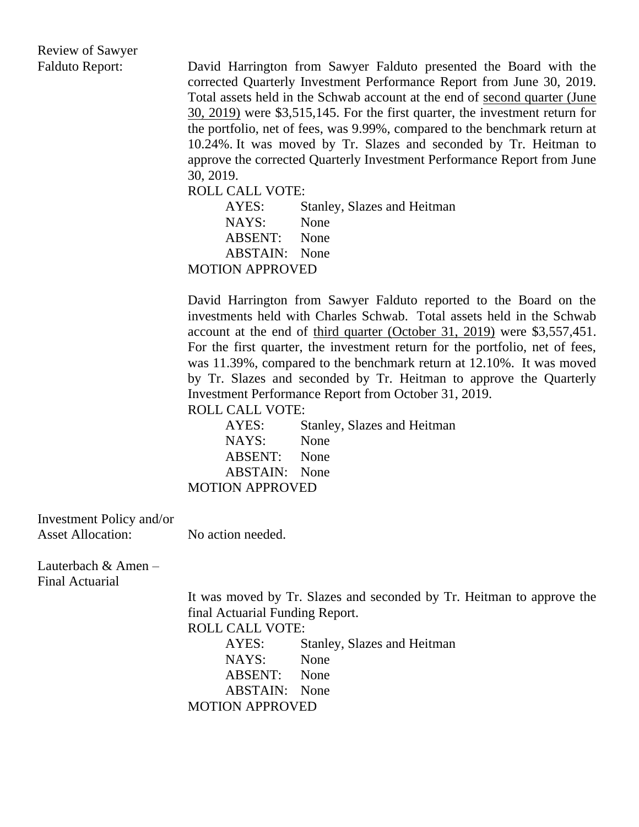Review of Sawyer

Falduto Report: David Harrington from Sawyer Falduto presented the Board with the corrected Quarterly Investment Performance Report from June 30, 2019. Total assets held in the Schwab account at the end of second quarter (June 30, 2019) were \$3,515,145. For the first quarter, the investment return for the portfolio, net of fees, was 9.99%, compared to the benchmark return at 10.24%. It was moved by Tr. Slazes and seconded by Tr. Heitman to approve the corrected Quarterly Investment Performance Report from June 30, 2019.

ROLL CALL VOTE:

AYES: Stanley, Slazes and Heitman NAYS: None ABSENT: None ABSTAIN: None MOTION APPROVED

David Harrington from Sawyer Falduto reported to the Board on the investments held with Charles Schwab. Total assets held in the Schwab account at the end of third quarter (October 31, 2019) were \$3,557,451. For the first quarter, the investment return for the portfolio, net of fees, was 11.39%, compared to the benchmark return at 12.10%. It was moved by Tr. Slazes and seconded by Tr. Heitman to approve the Quarterly Investment Performance Report from October 31, 2019. ROLL CALL VOTE:

AYES: Stanley, Slazes and Heitman NAYS: None ABSENT: None ABSTAIN: None MOTION APPROVED

Investment Policy and/or Asset Allocation: No action needed.

Lauterbach & Amen – Final Actuarial

> It was moved by Tr. Slazes and seconded by Tr. Heitman to approve the final Actuarial Funding Report.

ROLL CALL VOTE:

AYES: Stanley, Slazes and Heitman NAYS: None ABSENT: None ABSTAIN: None MOTION APPROVED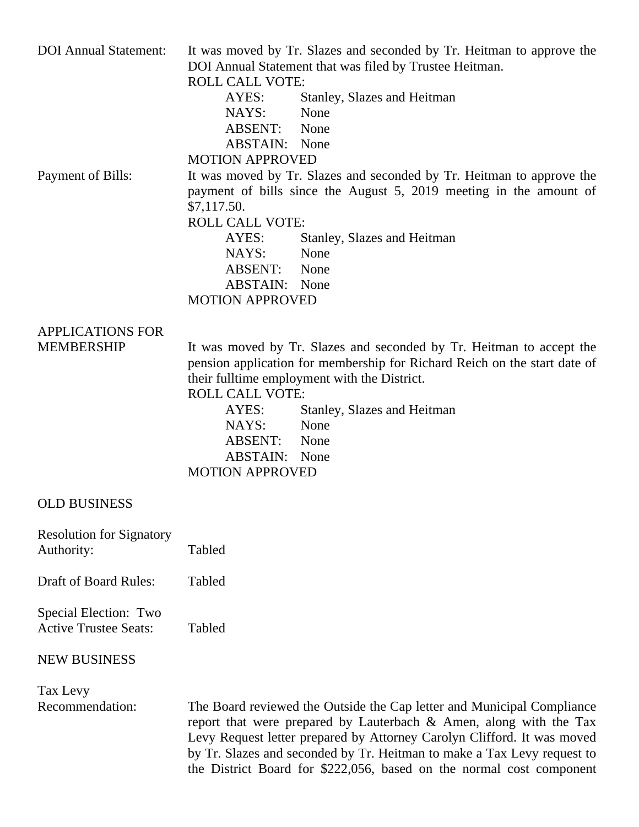| <b>DOI</b> Annual Statement:                          | It was moved by Tr. Slazes and seconded by Tr. Heitman to approve the<br>DOI Annual Statement that was filed by Trustee Heitman.<br><b>ROLL CALL VOTE:</b><br>Stanley, Slazes and Heitman<br>AYES:<br>NAYS:<br>None<br>ABSENT:<br>None<br><b>ABSTAIN:</b> None                                                                                                                |
|-------------------------------------------------------|-------------------------------------------------------------------------------------------------------------------------------------------------------------------------------------------------------------------------------------------------------------------------------------------------------------------------------------------------------------------------------|
| Payment of Bills:                                     | <b>MOTION APPROVED</b><br>It was moved by Tr. Slazes and seconded by Tr. Heitman to approve the<br>payment of bills since the August 5, 2019 meeting in the amount of<br>\$7,117.50.<br><b>ROLL CALL VOTE:</b><br>AYES:<br>Stanley, Slazes and Heitman<br>NAYS:<br>None<br><b>ABSENT:</b><br>None<br><b>ABSTAIN:</b> None<br><b>MOTION APPROVED</b>                           |
| <b>APPLICATIONS FOR</b><br><b>MEMBERSHIP</b>          | It was moved by Tr. Slazes and seconded by Tr. Heitman to accept the<br>pension application for membership for Richard Reich on the start date of<br>their fulltime employment with the District.<br><b>ROLL CALL VOTE:</b><br>AYES:<br>Stanley, Slazes and Heitman<br>NAYS:<br>None<br><b>ABSENT:</b><br>None<br><b>ABSTAIN:</b> None<br><b>MOTION APPROVED</b>              |
| <b>OLD BUSINESS</b>                                   |                                                                                                                                                                                                                                                                                                                                                                               |
| <b>Resolution for Signatory</b><br>Authority:         | Tabled                                                                                                                                                                                                                                                                                                                                                                        |
| <b>Draft of Board Rules:</b>                          | Tabled                                                                                                                                                                                                                                                                                                                                                                        |
| Special Election: Two<br><b>Active Trustee Seats:</b> | Tabled                                                                                                                                                                                                                                                                                                                                                                        |
| <b>NEW BUSINESS</b>                                   |                                                                                                                                                                                                                                                                                                                                                                               |
| Tax Levy<br>Recommendation:                           | The Board reviewed the Outside the Cap letter and Municipal Compliance<br>report that were prepared by Lauterbach $\&$ Amen, along with the Tax<br>Levy Request letter prepared by Attorney Carolyn Clifford. It was moved<br>by Tr. Slazes and seconded by Tr. Heitman to make a Tax Levy request to<br>the District Board for \$222,056, based on the normal cost component |